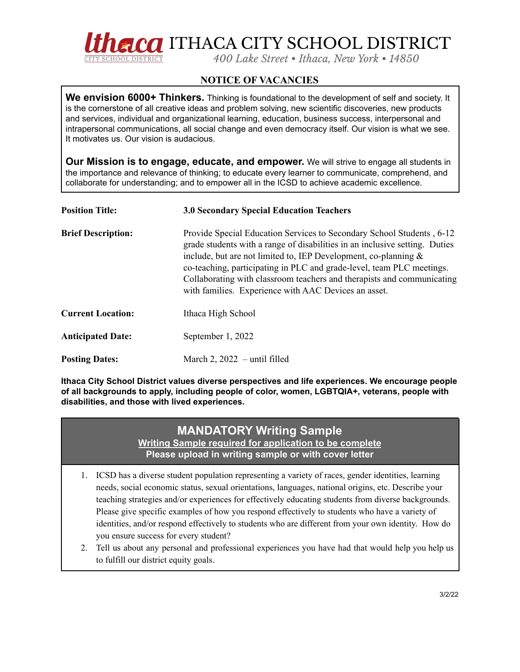

## **NOTICE OF VACANCIES**

**We envision 6000+ Thinkers.** Thinking is foundational to the development of self and society. It is the cornerstone of all creative ideas and problem solving, new scientific discoveries, new products and services, individual and organizational learning, education, business success, interpersonal and intrapersonal communications, all social change and even democracy itself. Our vision is what we see. It motivates us. Our vision is audacious.

**Our Mission is to engage, educate, and empower.** We will strive to engage all students in the importance and relevance of thinking; to educate every learner to communicate, comprehend, and collaborate for understanding; and to empower all in the ICSD to achieve academic excellence.

| <b>Position Title:</b>    | <b>3.0 Secondary Special Education Teachers</b>                                                                                                                                                                                                                                                                                                                                                                                       |
|---------------------------|---------------------------------------------------------------------------------------------------------------------------------------------------------------------------------------------------------------------------------------------------------------------------------------------------------------------------------------------------------------------------------------------------------------------------------------|
| <b>Brief Description:</b> | Provide Special Education Services to Secondary School Students, 6-12<br>grade students with a range of disabilities in an inclusive setting. Duties<br>include, but are not limited to, IEP Development, co-planning $\&$<br>co-teaching, participating in PLC and grade-level, team PLC meetings.<br>Collaborating with classroom teachers and therapists and communicating<br>with families. Experience with AAC Devices an asset. |
| <b>Current Location:</b>  | Ithaca High School                                                                                                                                                                                                                                                                                                                                                                                                                    |
| <b>Anticipated Date:</b>  | September 1, 2022                                                                                                                                                                                                                                                                                                                                                                                                                     |
| <b>Posting Dates:</b>     | March 2, $2022 -$ until filled                                                                                                                                                                                                                                                                                                                                                                                                        |

**Ithaca City School District values diverse perspectives and life experiences. We encourage people of all backgrounds to apply, including people of color, women, LGBTQIA+, veterans, people with disabilities, and those with lived experiences.**

## **MANDATORY Writing Sample**

**Writing Sample required for application to be complete Please upload in writing sample or with cover letter**

- 1. ICSD has a diverse student population representing a variety of races, gender identities, learning needs, social economic status, sexual orientations, languages, national origins, etc. Describe your teaching strategies and/or experiences for effectively educating students from diverse backgrounds. Please give specific examples of how you respond effectively to students who have a variety of identities, and/or respond effectively to students who are different from your own identity. How do you ensure success for every student?
- 2. Tell us about any personal and professional experiences you have had that would help you help us to fulfill our district equity goals.